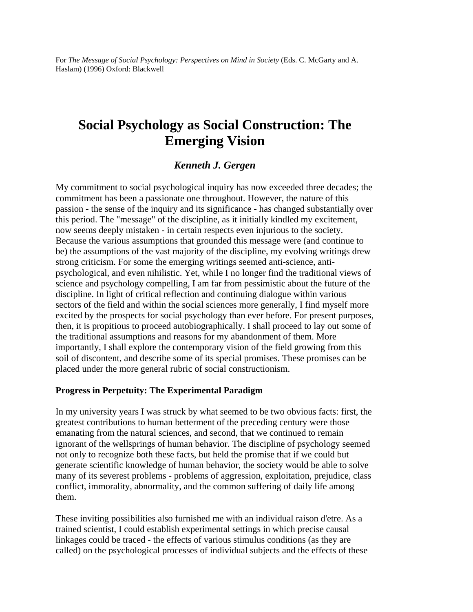# **Social Psychology as Social Construction: The Emerging Vision**

## *Kenneth J. Gergen*

My commitment to social psychological inquiry has now exceeded three decades; the commitment has been a passionate one throughout. However, the nature of this passion - the sense of the inquiry and its significance - has changed substantially over this period. The "message" of the discipline, as it initially kindled my excitement, now seems deeply mistaken - in certain respects even injurious to the society. Because the various assumptions that grounded this message were (and continue to be) the assumptions of the vast majority of the discipline, my evolving writings drew strong criticism. For some the emerging writings seemed anti-science, antipsychological, and even nihilistic. Yet, while I no longer find the traditional views of science and psychology compelling, I am far from pessimistic about the future of the discipline. In light of critical reflection and continuing dialogue within various sectors of the field and within the social sciences more generally, I find myself more excited by the prospects for social psychology than ever before. For present purposes, then, it is propitious to proceed autobiographically. I shall proceed to lay out some of the traditional assumptions and reasons for my abandonment of them. More importantly, I shall explore the contemporary vision of the field growing from this soil of discontent, and describe some of its special promises. These promises can be placed under the more general rubric of social constructionism.

## **Progress in Perpetuity: The Experimental Paradigm**

In my university years I was struck by what seemed to be two obvious facts: first, the greatest contributions to human betterment of the preceding century were those emanating from the natural sciences, and second, that we continued to remain ignorant of the wellsprings of human behavior. The discipline of psychology seemed not only to recognize both these facts, but held the promise that if we could but generate scientific knowledge of human behavior, the society would be able to solve many of its severest problems - problems of aggression, exploitation, prejudice, class conflict, immorality, abnormality, and the common suffering of daily life among them.

These inviting possibilities also furnished me with an individual raison d'etre. As a trained scientist, I could establish experimental settings in which precise causal linkages could be traced - the effects of various stimulus conditions (as they are called) on the psychological processes of individual subjects and the effects of these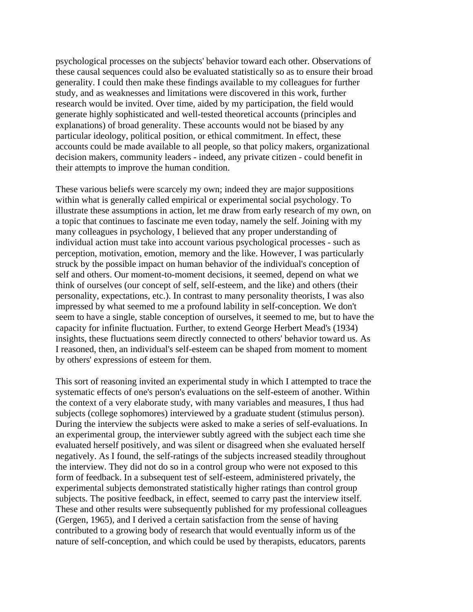psychological processes on the subjects' behavior toward each other. Observations of these causal sequences could also be evaluated statistically so as to ensure their broad generality. I could then make these findings available to my colleagues for further study, and as weaknesses and limitations were discovered in this work, further research would be invited. Over time, aided by my participation, the field would generate highly sophisticated and well-tested theoretical accounts (principles and explanations) of broad generality. These accounts would not be biased by any particular ideology, political position, or ethical commitment. In effect, these accounts could be made available to all people, so that policy makers, organizational decision makers, community leaders - indeed, any private citizen - could benefit in their attempts to improve the human condition.

These various beliefs were scarcely my own; indeed they are major suppositions within what is generally called empirical or experimental social psychology. To illustrate these assumptions in action, let me draw from early research of my own, on a topic that continues to fascinate me even today, namely the self. Joining with my many colleagues in psychology, I believed that any proper understanding of individual action must take into account various psychological processes - such as perception, motivation, emotion, memory and the like. However, I was particularly struck by the possible impact on human behavior of the individual's conception of self and others. Our moment-to-moment decisions, it seemed, depend on what we think of ourselves (our concept of self, self-esteem, and the like) and others (their personality, expectations, etc.). In contrast to many personality theorists, I was also impressed by what seemed to me a profound lability in self-conception. We don't seem to have a single, stable conception of ourselves, it seemed to me, but to have the capacity for infinite fluctuation. Further, to extend George Herbert Mead's (1934) insights, these fluctuations seem directly connected to others' behavior toward us. As I reasoned, then, an individual's self-esteem can be shaped from moment to moment by others' expressions of esteem for them.

This sort of reasoning invited an experimental study in which I attempted to trace the systematic effects of one's person's evaluations on the self-esteem of another. Within the context of a very elaborate study, with many variables and measures, I thus had subjects (college sophomores) interviewed by a graduate student (stimulus person). During the interview the subjects were asked to make a series of self-evaluations. In an experimental group, the interviewer subtly agreed with the subject each time she evaluated herself positively, and was silent or disagreed when she evaluated herself negatively. As I found, the self-ratings of the subjects increased steadily throughout the interview. They did not do so in a control group who were not exposed to this form of feedback. In a subsequent test of self-esteem, administered privately, the experimental subjects demonstrated statistically higher ratings than control group subjects. The positive feedback, in effect, seemed to carry past the interview itself. These and other results were subsequently published for my professional colleagues (Gergen, 1965), and I derived a certain satisfaction from the sense of having contributed to a growing body of research that would eventually inform us of the nature of self-conception, and which could be used by therapists, educators, parents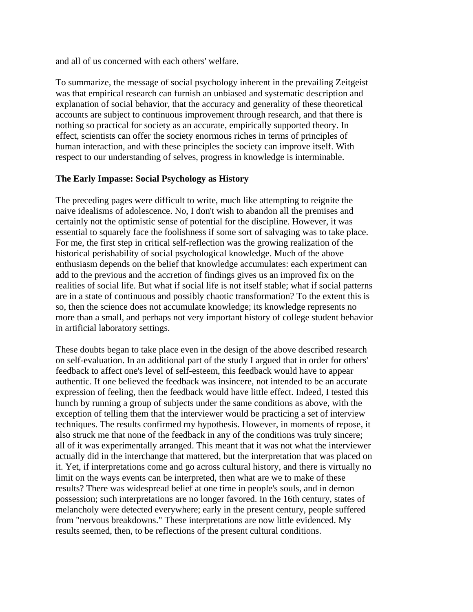and all of us concerned with each others' welfare.

To summarize, the message of social psychology inherent in the prevailing Zeitgeist was that empirical research can furnish an unbiased and systematic description and explanation of social behavior, that the accuracy and generality of these theoretical accounts are subject to continuous improvement through research, and that there is nothing so practical for society as an accurate, empirically supported theory. In effect, scientists can offer the society enormous riches in terms of principles of human interaction, and with these principles the society can improve itself. With respect to our understanding of selves, progress in knowledge is interminable.

## **The Early Impasse: Social Psychology as History**

The preceding pages were difficult to write, much like attempting to reignite the naive idealisms of adolescence. No, I don't wish to abandon all the premises and certainly not the optimistic sense of potential for the discipline. However, it was essential to squarely face the foolishness if some sort of salvaging was to take place. For me, the first step in critical self-reflection was the growing realization of the historical perishability of social psychological knowledge. Much of the above enthusiasm depends on the belief that knowledge accumulates: each experiment can add to the previous and the accretion of findings gives us an improved fix on the realities of social life. But what if social life is not itself stable; what if social patterns are in a state of continuous and possibly chaotic transformation? To the extent this is so, then the science does not accumulate knowledge; its knowledge represents no more than a small, and perhaps not very important history of college student behavior in artificial laboratory settings.

These doubts began to take place even in the design of the above described research on self-evaluation. In an additional part of the study I argued that in order for others' feedback to affect one's level of self-esteem, this feedback would have to appear authentic. If one believed the feedback was insincere, not intended to be an accurate expression of feeling, then the feedback would have little effect. Indeed, I tested this hunch by running a group of subjects under the same conditions as above, with the exception of telling them that the interviewer would be practicing a set of interview techniques. The results confirmed my hypothesis. However, in moments of repose, it also struck me that none of the feedback in any of the conditions was truly sincere; all of it was experimentally arranged. This meant that it was not what the interviewer actually did in the interchange that mattered, but the interpretation that was placed on it. Yet, if interpretations come and go across cultural history, and there is virtually no limit on the ways events can be interpreted, then what are we to make of these results? There was widespread belief at one time in people's souls, and in demon possession; such interpretations are no longer favored. In the 16th century, states of melancholy were detected everywhere; early in the present century, people suffered from "nervous breakdowns." These interpretations are now little evidenced. My results seemed, then, to be reflections of the present cultural conditions.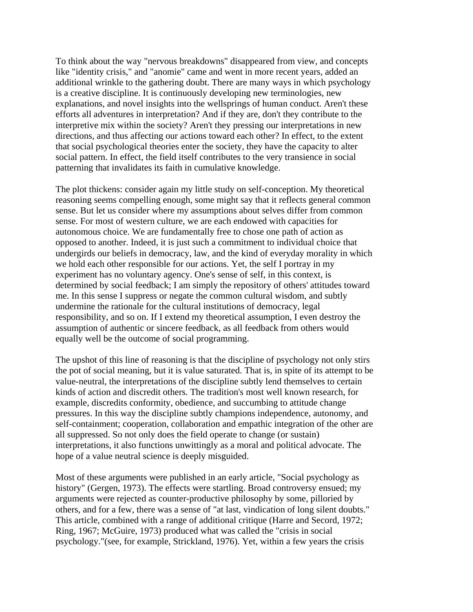To think about the way "nervous breakdowns" disappeared from view, and concepts like "identity crisis," and "anomie" came and went in more recent years, added an additional wrinkle to the gathering doubt. There are many ways in which psychology is a creative discipline. It is continuously developing new terminologies, new explanations, and novel insights into the wellsprings of human conduct. Aren't these efforts all adventures in interpretation? And if they are, don't they contribute to the interpretive mix within the society? Aren't they pressing our interpretations in new directions, and thus affecting our actions toward each other? In effect, to the extent that social psychological theories enter the society, they have the capacity to alter social pattern. In effect, the field itself contributes to the very transience in social patterning that invalidates its faith in cumulative knowledge.

The plot thickens: consider again my little study on self-conception. My theoretical reasoning seems compelling enough, some might say that it reflects general common sense. But let us consider where my assumptions about selves differ from common sense. For most of western culture, we are each endowed with capacities for autonomous choice. We are fundamentally free to chose one path of action as opposed to another. Indeed, it is just such a commitment to individual choice that undergirds our beliefs in democracy, law, and the kind of everyday morality in which we hold each other responsible for our actions. Yet, the self I portray in my experiment has no voluntary agency. One's sense of self, in this context, is determined by social feedback; I am simply the repository of others' attitudes toward me. In this sense I suppress or negate the common cultural wisdom, and subtly undermine the rationale for the cultural institutions of democracy, legal responsibility, and so on. If I extend my theoretical assumption, I even destroy the assumption of authentic or sincere feedback, as all feedback from others would equally well be the outcome of social programming.

The upshot of this line of reasoning is that the discipline of psychology not only stirs the pot of social meaning, but it is value saturated. That is, in spite of its attempt to be value-neutral, the interpretations of the discipline subtly lend themselves to certain kinds of action and discredit others. The tradition's most well known research, for example, discredits conformity, obedience, and succumbing to attitude change pressures. In this way the discipline subtly champions independence, autonomy, and self-containment; cooperation, collaboration and empathic integration of the other are all suppressed. So not only does the field operate to change (or sustain) interpretations, it also functions unwittingly as a moral and political advocate. The hope of a value neutral science is deeply misguided.

Most of these arguments were published in an early article, "Social psychology as history" (Gergen, 1973). The effects were startling. Broad controversy ensued; my arguments were rejected as counter-productive philosophy by some, pilloried by others, and for a few, there was a sense of "at last, vindication of long silent doubts." This article, combined with a range of additional critique (Harre and Secord, 1972; Ring, 1967; McGuire, 1973) produced what was called the "crisis in social psychology."(see, for example, Strickland, 1976). Yet, within a few years the crisis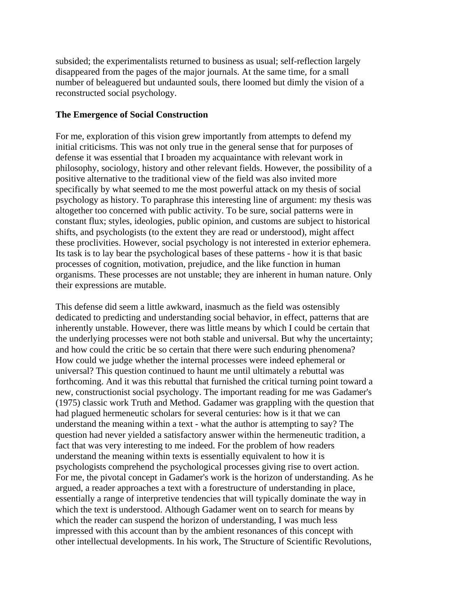subsided; the experimentalists returned to business as usual; self-reflection largely disappeared from the pages of the major journals. At the same time, for a small number of beleaguered but undaunted souls, there loomed but dimly the vision of a reconstructed social psychology.

#### **The Emergence of Social Construction**

For me, exploration of this vision grew importantly from attempts to defend my initial criticisms. This was not only true in the general sense that for purposes of defense it was essential that I broaden my acquaintance with relevant work in philosophy, sociology, history and other relevant fields. However, the possibility of a positive alternative to the traditional view of the field was also invited more specifically by what seemed to me the most powerful attack on my thesis of social psychology as history. To paraphrase this interesting line of argument: my thesis was altogether too concerned with public activity. To be sure, social patterns were in constant flux; styles, ideologies, public opinion, and customs are subject to historical shifts, and psychologists (to the extent they are read or understood), might affect these proclivities. However, social psychology is not interested in exterior ephemera. Its task is to lay bear the psychological bases of these patterns - how it is that basic processes of cognition, motivation, prejudice, and the like function in human organisms. These processes are not unstable; they are inherent in human nature. Only their expressions are mutable.

This defense did seem a little awkward, inasmuch as the field was ostensibly dedicated to predicting and understanding social behavior, in effect, patterns that are inherently unstable. However, there was little means by which I could be certain that the underlying processes were not both stable and universal. But why the uncertainty; and how could the critic be so certain that there were such enduring phenomena? How could we judge whether the internal processes were indeed ephemeral or universal? This question continued to haunt me until ultimately a rebuttal was forthcoming. And it was this rebuttal that furnished the critical turning point toward a new, constructionist social psychology. The important reading for me was Gadamer's (1975) classic work Truth and Method. Gadamer was grappling with the question that had plagued hermeneutic scholars for several centuries: how is it that we can understand the meaning within a text - what the author is attempting to say? The question had never yielded a satisfactory answer within the hermeneutic tradition, a fact that was very interesting to me indeed. For the problem of how readers understand the meaning within texts is essentially equivalent to how it is psychologists comprehend the psychological processes giving rise to overt action. For me, the pivotal concept in Gadamer's work is the horizon of understanding. As he argued, a reader approaches a text with a forestructure of understanding in place, essentially a range of interpretive tendencies that will typically dominate the way in which the text is understood. Although Gadamer went on to search for means by which the reader can suspend the horizon of understanding, I was much less impressed with this account than by the ambient resonances of this concept with other intellectual developments. In his work, The Structure of Scientific Revolutions,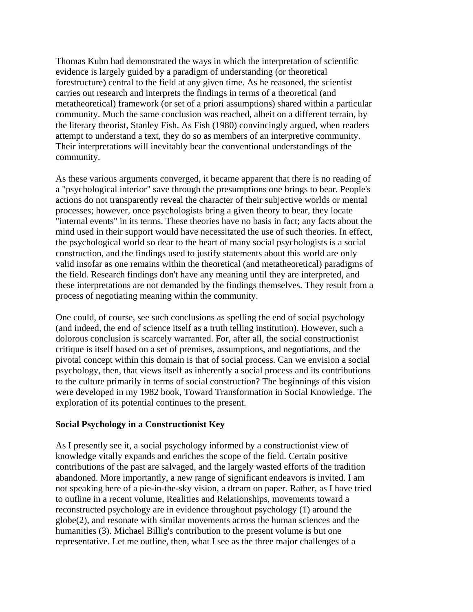Thomas Kuhn had demonstrated the ways in which the interpretation of scientific evidence is largely guided by a paradigm of understanding (or theoretical forestructure) central to the field at any given time. As he reasoned, the scientist carries out research and interprets the findings in terms of a theoretical (and metatheoretical) framework (or set of a priori assumptions) shared within a particular community. Much the same conclusion was reached, albeit on a different terrain, by the literary theorist, Stanley Fish. As Fish (1980) convincingly argued, when readers attempt to understand a text, they do so as members of an interpretive community. Their interpretations will inevitably bear the conventional understandings of the community.

As these various arguments converged, it became apparent that there is no reading of a "psychological interior" save through the presumptions one brings to bear. People's actions do not transparently reveal the character of their subjective worlds or mental processes; however, once psychologists bring a given theory to bear, they locate "internal events" in its terms. These theories have no basis in fact; any facts about the mind used in their support would have necessitated the use of such theories. In effect, the psychological world so dear to the heart of many social psychologists is a social construction, and the findings used to justify statements about this world are only valid insofar as one remains within the theoretical (and metatheoretical) paradigms of the field. Research findings don't have any meaning until they are interpreted, and these interpretations are not demanded by the findings themselves. They result from a process of negotiating meaning within the community.

One could, of course, see such conclusions as spelling the end of social psychology (and indeed, the end of science itself as a truth telling institution). However, such a dolorous conclusion is scarcely warranted. For, after all, the social constructionist critique is itself based on a set of premises, assumptions, and negotiations, and the pivotal concept within this domain is that of social process. Can we envision a social psychology, then, that views itself as inherently a social process and its contributions to the culture primarily in terms of social construction? The beginnings of this vision were developed in my 1982 book, Toward Transformation in Social Knowledge. The exploration of its potential continues to the present.

## **Social Psychology in a Constructionist Key**

As I presently see it, a social psychology informed by a constructionist view of knowledge vitally expands and enriches the scope of the field. Certain positive contributions of the past are salvaged, and the largely wasted efforts of the tradition abandoned. More importantly, a new range of significant endeavors is invited. I am not speaking here of a pie-in-the-sky vision, a dream on paper. Rather, as I have tried to outline in a recent volume, Realities and Relationships, movements toward a reconstructed psychology are in evidence throughout psychology (1) around the globe(2), and resonate with similar movements across the human sciences and the humanities (3). Michael Billig's contribution to the present volume is but one representative. Let me outline, then, what I see as the three major challenges of a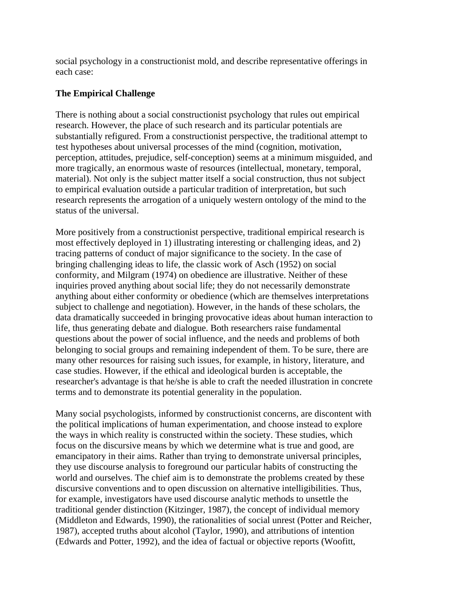social psychology in a constructionist mold, and describe representative offerings in each case:

## **The Empirical Challenge**

There is nothing about a social constructionist psychology that rules out empirical research. However, the place of such research and its particular potentials are substantially refigured. From a constructionist perspective, the traditional attempt to test hypotheses about universal processes of the mind (cognition, motivation, perception, attitudes, prejudice, self-conception) seems at a minimum misguided, and more tragically, an enormous waste of resources (intellectual, monetary, temporal, material). Not only is the subject matter itself a social construction, thus not subject to empirical evaluation outside a particular tradition of interpretation, but such research represents the arrogation of a uniquely western ontology of the mind to the status of the universal.

More positively from a constructionist perspective, traditional empirical research is most effectively deployed in 1) illustrating interesting or challenging ideas, and 2) tracing patterns of conduct of major significance to the society. In the case of bringing challenging ideas to life, the classic work of Asch (1952) on social conformity, and Milgram (1974) on obedience are illustrative. Neither of these inquiries proved anything about social life; they do not necessarily demonstrate anything about either conformity or obedience (which are themselves interpretations subject to challenge and negotiation). However, in the hands of these scholars, the data dramatically succeeded in bringing provocative ideas about human interaction to life, thus generating debate and dialogue. Both researchers raise fundamental questions about the power of social influence, and the needs and problems of both belonging to social groups and remaining independent of them. To be sure, there are many other resources for raising such issues, for example, in history, literature, and case studies. However, if the ethical and ideological burden is acceptable, the researcher's advantage is that he/she is able to craft the needed illustration in concrete terms and to demonstrate its potential generality in the population.

Many social psychologists, informed by constructionist concerns, are discontent with the political implications of human experimentation, and choose instead to explore the ways in which reality is constructed within the society. These studies, which focus on the discursive means by which we determine what is true and good, are emancipatory in their aims. Rather than trying to demonstrate universal principles, they use discourse analysis to foreground our particular habits of constructing the world and ourselves. The chief aim is to demonstrate the problems created by these discursive conventions and to open discussion on alternative intelligibilities. Thus, for example, investigators have used discourse analytic methods to unsettle the traditional gender distinction (Kitzinger, 1987), the concept of individual memory (Middleton and Edwards, 1990), the rationalities of social unrest (Potter and Reicher, 1987), accepted truths about alcohol (Taylor, 1990), and attributions of intention (Edwards and Potter, 1992), and the idea of factual or objective reports (Woofitt,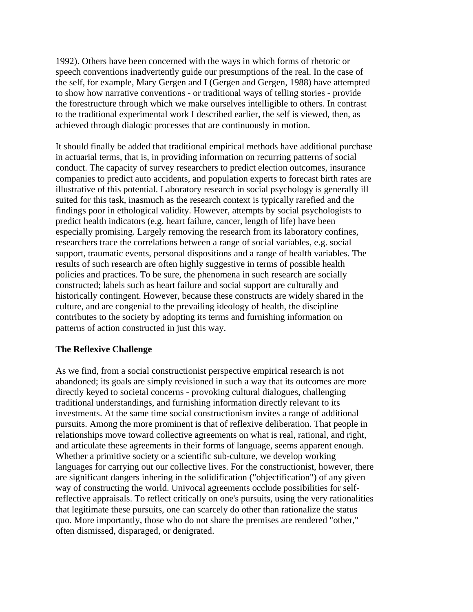1992). Others have been concerned with the ways in which forms of rhetoric or speech conventions inadvertently guide our presumptions of the real. In the case of the self, for example, Mary Gergen and I (Gergen and Gergen, 1988) have attempted to show how narrative conventions - or traditional ways of telling stories - provide the forestructure through which we make ourselves intelligible to others. In contrast to the traditional experimental work I described earlier, the self is viewed, then, as achieved through dialogic processes that are continuously in motion.

It should finally be added that traditional empirical methods have additional purchase in actuarial terms, that is, in providing information on recurring patterns of social conduct. The capacity of survey researchers to predict election outcomes, insurance companies to predict auto accidents, and population experts to forecast birth rates are illustrative of this potential. Laboratory research in social psychology is generally ill suited for this task, inasmuch as the research context is typically rarefied and the findings poor in ethological validity. However, attempts by social psychologists to predict health indicators (e.g. heart failure, cancer, length of life) have been especially promising. Largely removing the research from its laboratory confines, researchers trace the correlations between a range of social variables, e.g. social support, traumatic events, personal dispositions and a range of health variables. The results of such research are often highly suggestive in terms of possible health policies and practices. To be sure, the phenomena in such research are socially constructed; labels such as heart failure and social support are culturally and historically contingent. However, because these constructs are widely shared in the culture, and are congenial to the prevailing ideology of health, the discipline contributes to the society by adopting its terms and furnishing information on patterns of action constructed in just this way.

## **The Reflexive Challenge**

As we find, from a social constructionist perspective empirical research is not abandoned; its goals are simply revisioned in such a way that its outcomes are more directly keyed to societal concerns - provoking cultural dialogues, challenging traditional understandings, and furnishing information directly relevant to its investments. At the same time social constructionism invites a range of additional pursuits. Among the more prominent is that of reflexive deliberation. That people in relationships move toward collective agreements on what is real, rational, and right, and articulate these agreements in their forms of language, seems apparent enough. Whether a primitive society or a scientific sub-culture, we develop working languages for carrying out our collective lives. For the constructionist, however, there are significant dangers inhering in the solidification ("objectification") of any given way of constructing the world. Univocal agreements occlude possibilities for selfreflective appraisals. To reflect critically on one's pursuits, using the very rationalities that legitimate these pursuits, one can scarcely do other than rationalize the status quo. More importantly, those who do not share the premises are rendered "other," often dismissed, disparaged, or denigrated.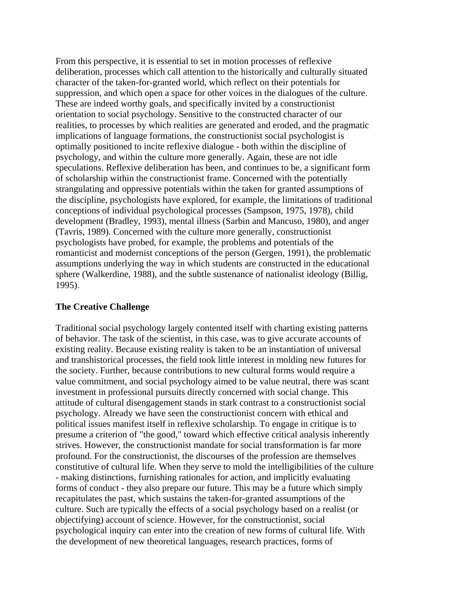From this perspective, it is essential to set in motion processes of reflexive deliberation, processes which call attention to the historically and culturally situated character of the taken-for-granted world, which reflect on their potentials for suppression, and which open a space for other voices in the dialogues of the culture. These are indeed worthy goals, and specifically invited by a constructionist orientation to social psychology. Sensitive to the constructed character of our realities, to processes by which realities are generated and eroded, and the pragmatic implications of language formations, the constructionist social psychologist is optimally positioned to incite reflexive dialogue - both within the discipline of psychology, and within the culture more generally. Again, these are not idle speculations. Reflexive deliberation has been, and continues to be, a significant form of scholarship within the constructionist frame. Concerned with the potentially strangulating and oppressive potentials within the taken for granted assumptions of the discipline, psychologists have explored, for example, the limitations of traditional conceptions of individual psychological processes (Sampson, 1975, 1978), child development (Bradley, 1993), mental illness (Sarbin and Mancuso, 1980), and anger (Tavris, 1989). Concerned with the culture more generally, constructionist psychologists have probed, for example, the problems and potentials of the romanticist and modernist conceptions of the person (Gergen, 1991), the problematic assumptions underlying the way in which students are constructed in the educational sphere (Walkerdine, 1988), and the subtle sustenance of nationalist ideology (Billig, 1995).

#### **The Creative Challenge**

Traditional social psychology largely contented itself with charting existing patterns of behavior. The task of the scientist, in this case, was to give accurate accounts of existing reality. Because existing reality is taken to be an instantiation of universal and transhistorical processes, the field took little interest in molding new futures for the society. Further, because contributions to new cultural forms would require a value commitment, and social psychology aimed to be value neutral, there was scant investment in professional pursuits directly concerned with social change. This attitude of cultural disengagement stands in stark contrast to a constructionist social psychology. Already we have seen the constructionist concern with ethical and political issues manifest itself in reflexive scholarship. To engage in critique is to presume a criterion of "the good," toward which effective critical analysis inherently strives. However, the constructionist mandate for social transformation is far more profound. For the constructionist, the discourses of the profession are themselves constitutive of cultural life. When they serve to mold the intelligibilities of the culture - making distinctions, furnishing rationales for action, and implicitly evaluating forms of conduct - they also prepare our future. This may be a future which simply recapitulates the past, which sustains the taken-for-granted assumptions of the culture. Such are typically the effects of a social psychology based on a realist (or objectifying) account of science. However, for the constructionist, social psychological inquiry can enter into the creation of new forms of cultural life. With the development of new theoretical languages, research practices, forms of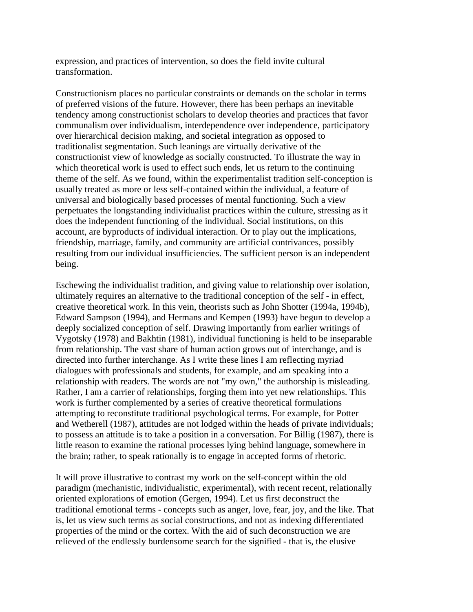expression, and practices of intervention, so does the field invite cultural transformation.

Constructionism places no particular constraints or demands on the scholar in terms of preferred visions of the future. However, there has been perhaps an inevitable tendency among constructionist scholars to develop theories and practices that favor communalism over individualism, interdependence over independence, participatory over hierarchical decision making, and societal integration as opposed to traditionalist segmentation. Such leanings are virtually derivative of the constructionist view of knowledge as socially constructed. To illustrate the way in which theoretical work is used to effect such ends, let us return to the continuing theme of the self. As we found, within the experimentalist tradition self-conception is usually treated as more or less self-contained within the individual, a feature of universal and biologically based processes of mental functioning. Such a view perpetuates the longstanding individualist practices within the culture, stressing as it does the independent functioning of the individual. Social institutions, on this account, are byproducts of individual interaction. Or to play out the implications, friendship, marriage, family, and community are artificial contrivances, possibly resulting from our individual insufficiencies. The sufficient person is an independent being.

Eschewing the individualist tradition, and giving value to relationship over isolation, ultimately requires an alternative to the traditional conception of the self - in effect, creative theoretical work. In this vein, theorists such as John Shotter (1994a, 1994b), Edward Sampson (1994), and Hermans and Kempen (1993) have begun to develop a deeply socialized conception of self. Drawing importantly from earlier writings of Vygotsky (1978) and Bakhtin (1981), individual functioning is held to be inseparable from relationship. The vast share of human action grows out of interchange, and is directed into further interchange. As I write these lines I am reflecting myriad dialogues with professionals and students, for example, and am speaking into a relationship with readers. The words are not "my own," the authorship is misleading. Rather, I am a carrier of relationships, forging them into yet new relationships. This work is further complemented by a series of creative theoretical formulations attempting to reconstitute traditional psychological terms. For example, for Potter and Wetherell (1987), attitudes are not lodged within the heads of private individuals; to possess an attitude is to take a position in a conversation. For Billig (1987), there is little reason to examine the rational processes lying behind language, somewhere in the brain; rather, to speak rationally is to engage in accepted forms of rhetoric.

It will prove illustrative to contrast my work on the self-concept within the old paradigm (mechanistic, individualistic, experimental), with recent recent, relationally oriented explorations of emotion (Gergen, 1994). Let us first deconstruct the traditional emotional terms - concepts such as anger, love, fear, joy, and the like. That is, let us view such terms as social constructions, and not as indexing differentiated properties of the mind or the cortex. With the aid of such deconstruction we are relieved of the endlessly burdensome search for the signified - that is, the elusive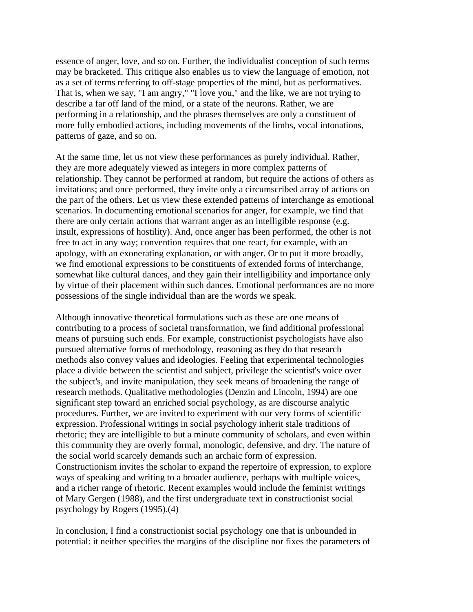essence of anger, love, and so on. Further, the individualist conception of such terms may be bracketed. This critique also enables us to view the language of emotion, not as a set of terms referring to off-stage properties of the mind, but as performatives. That is, when we say, "I am angry," "I love you," and the like, we are not trying to describe a far off land of the mind, or a state of the neurons. Rather, we are performing in a relationship, and the phrases themselves are only a constituent of more fully embodied actions, including movements of the limbs, vocal intonations, patterns of gaze, and so on.

At the same time, let us not view these performances as purely individual. Rather, they are more adequately viewed as integers in more complex patterns of relationship. They cannot be performed at random, but require the actions of others as invitations; and once performed, they invite only a circumscribed array of actions on the part of the others. Let us view these extended patterns of interchange as emotional scenarios. In documenting emotional scenarios for anger, for example, we find that there are only certain actions that warrant anger as an intelligible response (e.g. insult, expressions of hostility). And, once anger has been performed, the other is not free to act in any way; convention requires that one react, for example, with an apology, with an exonerating explanation, or with anger. Or to put it more broadly, we find emotional expressions to be constituents of extended forms of interchange, somewhat like cultural dances, and they gain their intelligibility and importance only by virtue of their placement within such dances. Emotional performances are no more possessions of the single individual than are the words we speak.

Although innovative theoretical formulations such as these are one means of contributing to a process of societal transformation, we find additional professional means of pursuing such ends. For example, constructionist psychologists have also pursued alternative forms of methodology, reasoning as they do that research methods also convey values and ideologies. Feeling that experimental technologies place a divide between the scientist and subject, privilege the scientist's voice over the subject's, and invite manipulation, they seek means of broadening the range of research methods. Qualitative methodologies (Denzin and Lincoln, 1994) are one significant step toward an enriched social psychology, as are discourse analytic procedures. Further, we are invited to experiment with our very forms of scientific expression. Professional writings in social psychology inherit stale traditions of rhetoric; they are intelligible to but a minute community of scholars, and even within this community they are overly formal, monologic, defensive, and dry. The nature of the social world scarcely demands such an archaic form of expression. Constructionism invites the scholar to expand the repertoire of expression, to explore ways of speaking and writing to a broader audience, perhaps with multiple voices, and a richer range of rhetoric. Recent examples would include the feminist writings of Mary Gergen (1988), and the first undergraduate text in constructionist social psychology by Rogers (1995).(4)

In conclusion, I find a constructionist social psychology one that is unbounded in potential: it neither specifies the margins of the discipline nor fixes the parameters of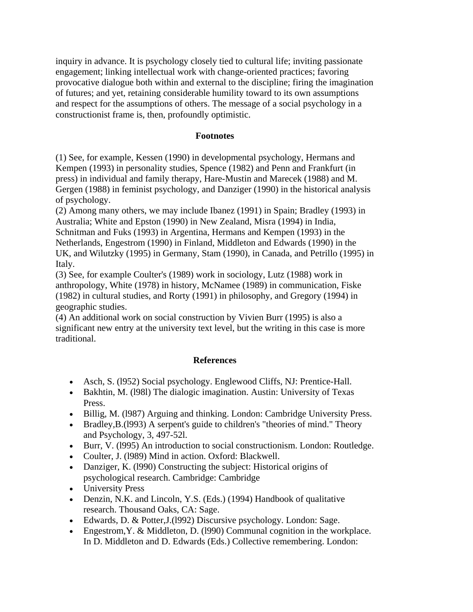inquiry in advance. It is psychology closely tied to cultural life; inviting passionate engagement; linking intellectual work with change-oriented practices; favoring provocative dialogue both within and external to the discipline; firing the imagination of futures; and yet, retaining considerable humility toward to its own assumptions and respect for the assumptions of others. The message of a social psychology in a constructionist frame is, then, profoundly optimistic.

## **Footnotes**

(1) See, for example, Kessen (1990) in developmental psychology, Hermans and Kempen (1993) in personality studies, Spence (1982) and Penn and Frankfurt (in press) in individual and family therapy, Hare-Mustin and Marecek (1988) and M. Gergen (1988) in feminist psychology, and Danziger (1990) in the historical analysis of psychology.

(2) Among many others, we may include Ibanez (1991) in Spain; Bradley (1993) in Australia; White and Epston (1990) in New Zealand, Misra (1994) in India, Schnitman and Fuks (1993) in Argentina, Hermans and Kempen (1993) in the Netherlands, Engestrom (1990) in Finland, Middleton and Edwards (1990) in the UK, and Wilutzky (1995) in Germany, Stam (1990), in Canada, and Petrillo (1995) in Italy.

(3) See, for example Coulter's (1989) work in sociology, Lutz (1988) work in anthropology, White (1978) in history, McNamee (1989) in communication, Fiske (1982) in cultural studies, and Rorty (1991) in philosophy, and Gregory (1994) in geographic studies.

(4) An additional work on social construction by Vivien Burr (1995) is also a significant new entry at the university text level, but the writing in this case is more traditional.

## **References**

- Asch, S. (1952) Social psychology. Englewood Cliffs, NJ: Prentice-Hall.
- Bakhtin, M. (l98l) The dialogic imagination. Austin: University of Texas Press.
- Billig, M. (l987) Arguing and thinking. London: Cambridge University Press.
- Bradley, B. (1993) A serpent's guide to children's "theories of mind." Theory and Psychology, 3, 497-52l.
- Burr, V. (l995) An introduction to social constructionism. London: Routledge.
- Coulter, J. (l989) Mind in action. Oxford: Blackwell.
- Danziger, K. (1990) Constructing the subject: Historical origins of psychological research. Cambridge: Cambridge
- University Press
- Denzin, N.K. and Lincoln, Y.S. (Eds.) (1994) Handbook of qualitative research. Thousand Oaks, CA: Sage.
- Edwards, D. & Potter, J. (1992) Discursive psychology. London: Sage.
- Engestrom, Y. & Middleton, D. (1990) Communal cognition in the workplace. In D. Middleton and D. Edwards (Eds.) Collective remembering. London: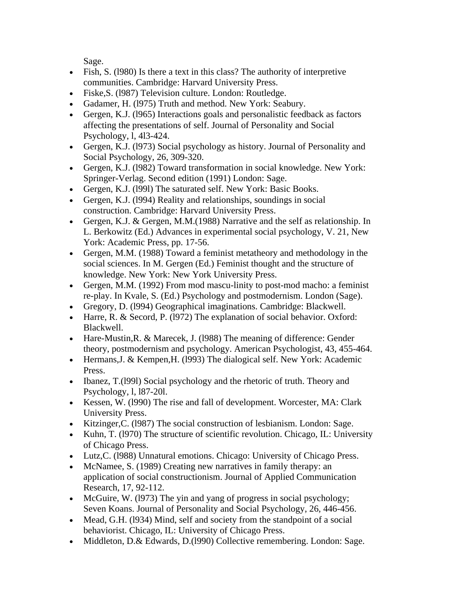Sage.

- Fish, S. (l980) Is there a text in this class? The authority of interpretive communities. Cambridge: Harvard University Press.
- Fiske, S. (1987) Television culture. London: Routledge.
- Gadamer, H. (l975) Truth and method. New York: Seabury.
- Gergen, K.J. (l965) Interactions goals and personalistic feedback as factors affecting the presentations of self. Journal of Personality and Social Psychology, l, 4l3-424.
- Gergen, K.J. (l973) Social psychology as history. Journal of Personality and Social Psychology, 26, 309-320.
- Gergen, K.J. (1982) Toward transformation in social knowledge. New York: Springer-Verlag. Second edition (1991) London: Sage.
- Gergen, K.J. (1991) The saturated self. New York: Basic Books.
- Gergen, K.J. (1994) Reality and relationships, soundings in social construction. Cambridge: Harvard University Press.
- Gergen, K.J. & Gergen, M.M.(1988) Narrative and the self as relationship. In L. Berkowitz (Ed.) Advances in experimental social psychology, V. 21, New York: Academic Press, pp. 17-56.
- Gergen, M.M. (1988) Toward a feminist metatheory and methodology in the social sciences. In M. Gergen (Ed.) Feminist thought and the structure of knowledge. New York: New York University Press.
- Gergen, M.M. (1992) From mod mascu-linity to post-mod macho: a feminist re-play. In Kvale, S. (Ed.) Psychology and postmodernism. London (Sage).
- Gregory, D. (l994) Geographical imaginations. Cambridge: Blackwell.
- Harre, R. & Secord, P. (l972) The explanation of social behavior. Oxford: Blackwell.
- Hare-Mustin, R. & Marecek, J. (1988) The meaning of difference: Gender theory, postmodernism and psychology. American Psychologist, 43, 455-464.
- Hermans, J. & Kempen, H. (1993) The dialogical self. New York: Academic Press.
- Ibanez, T.(1991) Social psychology and the rhetoric of truth. Theory and Psychology, l, l87-20l.
- Kessen, W. (l990) The rise and fall of development. Worcester, MA: Clark University Press.
- Kitzinger,C. (l987) The social construction of lesbianism. London: Sage.
- Kuhn, T. (1970) The structure of scientific revolution. Chicago, IL: University of Chicago Press.
- Lutz, C. (1988) Unnatural emotions. Chicago: University of Chicago Press.
- McNamee, S. (1989) Creating new narratives in family therapy: an application of social constructionism. Journal of Applied Communication Research, 17, 92-112.
- McGuire, W. (1973) The yin and yang of progress in social psychology; Seven Koans. Journal of Personality and Social Psychology, 26, 446-456.
- Mead, G.H. (1934) Mind, self and society from the standpoint of a social behaviorist. Chicago, IL: University of Chicago Press.
- Middleton, D.& Edwards, D.(1990) Collective remembering. London: Sage.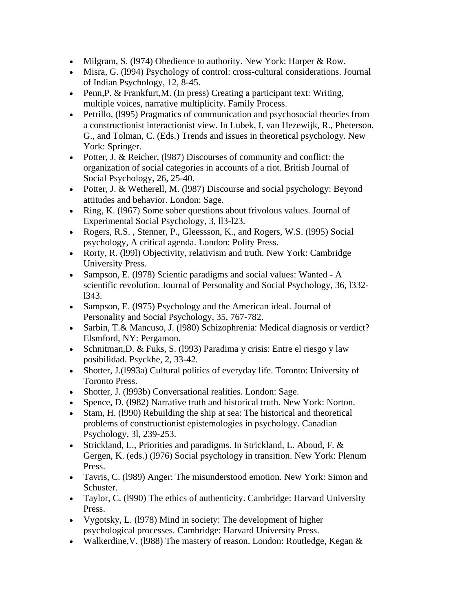- Milgram, S. (1974) Obedience to authority. New York: Harper & Row.
- Misra, G. (l994) Psychology of control: cross-cultural considerations. Journal of Indian Psychology, 12, 8-45.
- Penn, P. & Frankfurt, M. (In press) Creating a participant text: Writing, multiple voices, narrative multiplicity. Family Process.
- Petrillo, (l995) Pragmatics of communication and psychosocial theories from a constructionist interactionist view. In Lubek, I, van Hezewijk, R., Pheterson, G., and Tolman, C. (Eds.) Trends and issues in theoretical psychology. New York: Springer.
- Potter, J. & Reicher, (1987) Discourses of community and conflict: the organization of social categories in accounts of a riot. British Journal of Social Psychology, 26, 25-40.
- Potter, J. & Wetherell, M. (1987) Discourse and social psychology: Beyond attitudes and behavior. London: Sage.
- Ring, K. (1967) Some sober questions about frivolous values. Journal of Experimental Social Psychology, 3, ll3-l23.
- Rogers, R.S., Stenner, P., Gleessson, K., and Rogers, W.S. (1995) Social psychology, A critical agenda. London: Polity Press.
- Rorty, R. (1991) Objectivity, relativism and truth. New York: Cambridge University Press.
- Sampson, E. (l978) Scientic paradigms and social values: Wanted A scientific revolution. Journal of Personality and Social Psychology, 36, l332 l343.
- Sampson, E. (1975) Psychology and the American ideal. Journal of Personality and Social Psychology, 35, 767-782.
- Sarbin, T.& Mancuso, J. (l980) Schizophrenia: Medical diagnosis or verdict? Elsmford, NY: Pergamon.
- Schnitman, D. & Fuks, S. (1993) Paradima y crisis: Entre el riesgo y law posibilidad. Psyckhe, 2, 33-42.
- Shotter, J.(1993a) Cultural politics of everyday life. Toronto: University of Toronto Press.
- Shotter, J. (1993b) Conversational realities. London: Sage.
- Spence, D. (1982) Narrative truth and historical truth. New York: Norton.
- Stam, H. (1990) Rebuilding the ship at sea: The historical and theoretical problems of constructionist epistemologies in psychology. Canadian Psychology, 3l, 239-253.
- Strickland, L., Priorities and paradigms. In Strickland, L. Aboud, F. & Gergen, K. (eds.) (l976) Social psychology in transition. New York: Plenum Press.
- Tavris, C. (1989) Anger: The misunderstood emotion. New York: Simon and Schuster.
- Taylor, C. (1990) The ethics of authenticity. Cambridge: Harvard University Press.
- Vygotsky, L. (l978) Mind in society: The development of higher psychological processes. Cambridge: Harvard University Press.
- Walkerdine, V. (1988) The mastery of reason. London: Routledge, Kegan &